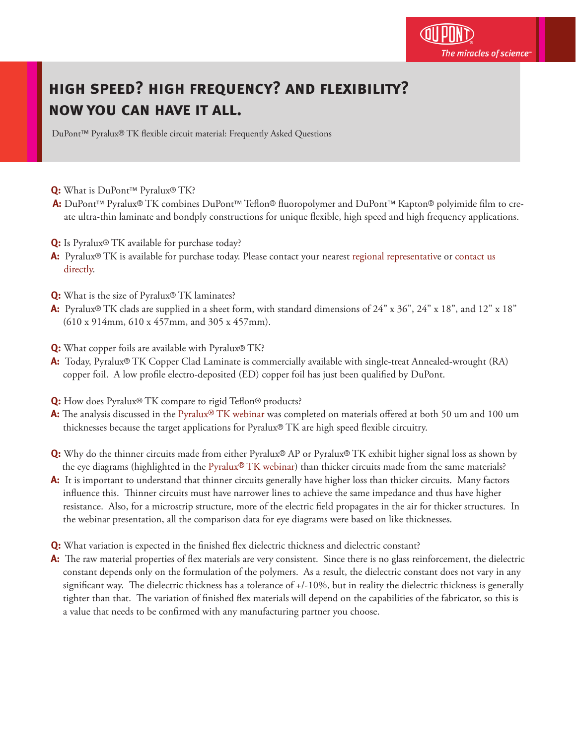## **high speed? high frequency? and flexibility? now you can have it all.**

DuPont™ Pyralux® TK flexible circuit material: Frequently Asked Questions

- **Q:** What is DuPont™ Pyralux® TK?
- **A:** DuPont™ Pyralux® TK combines DuPont™ Teflon® fluoropolymer and DuPont™ Kapton® polyimide film to create ultra-thin laminate and bondply constructions for unique flexible, high speed and high frequency applications.
- **Q:** Is Pyralux<sup>®</sup> TK available for purchase today?
- **A:** Pyralux® TK is available for purchase today. Please contact your nearest [regional representative](http://www2.dupont.com/Pyralux/en_US/sales_support/regional_contacts.html?src=tk_faq_2_regcontact) or [contact us](http://www2.dupont.com/Pyralux/en_US/contact_pyralux.html?src=tk_faq_2_contactus)   [directly](http://www2.dupont.com/Pyralux/en_US/contact_pyralux.html).
- **Q:** What is the size of Pyralux® TK laminates?
- **A:** Pyralux® TK clads are supplied in a sheet form, with standard dimensions of 24" x 36", 24" x 18", and 12" x 18" (610 x 914mm, 610 x 457mm, and 305 x 457mm).
- **Q:** What copper foils are available with Pyralux® TK?
- **A:** Today, Pyralux® TK Copper Clad Laminate is commercially available with single-treat Annealed-wrought (RA) copper foil. A low profile electro-deposited (ED) copper foil has just been qualified by DuPont.
- **Q:** How does Pyralux® TK compare to rigid Teflon® products?
- **A:** The analysis discussed in the Pyralux® [TK webinar](https://vts.inxpo.com/Launch/QReg.htm?ShowKey=7259) was completed on materials offered at both 50 um and 100 um thicknesses because the target applications for Pyralux® TK are high speed flexible circuitry.
- **Q:** Why do the thinner circuits made from either Pyralux® AP or Pyralux® TK exhibit higher signal loss as shown by the eye diagrams (highlighted in the Pyralux® [TK webinar](https://vts.inxpo.com/Launch/QReg.htm?ShowKey=7259)) than thicker circuits made from the same materials?
- **A:** It is important to understand that thinner circuits generally have higher loss than thicker circuits. Many factors influence this. Thinner circuits must have narrower lines to achieve the same impedance and thus have higher resistance. Also, for a microstrip structure, more of the electric field propagates in the air for thicker structures. In the webinar presentation, all the comparison data for eye diagrams were based on like thicknesses.
- **Q:** What variation is expected in the finished flex dielectric thickness and dielectric constant?
- A: The raw material properties of flex materials are very consistent. Since there is no glass reinforcement, the dielectric constant depends only on the formulation of the polymers. As a result, the dielectric constant does not vary in any significant way. The dielectric thickness has a tolerance of +/-10%, but in reality the dielectric thickness is generally tighter than that. The variation of finished flex materials will depend on the capabilities of the fabricator, so this is a value that needs to be confirmed with any manufacturing partner you choose.